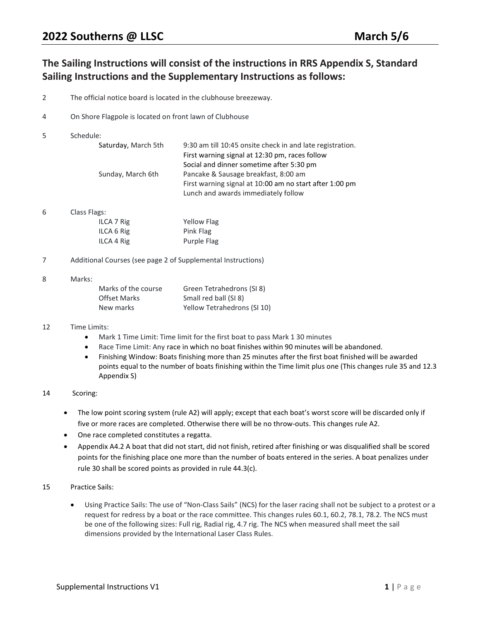# The Sailing Instructions will consist of the instructions in RRS Appendix S, Standard Sailing Instructions and the Supplementary Instructions as follows:

- 2 The official notice board is located in the clubhouse breezeway.
- 4 On Shore Flagpole is located on front lawn of Clubhouse
- 5 Schedule:

| Saturday, March 5th | 9:30 am till 10:45 onsite check in and late registration. |
|---------------------|-----------------------------------------------------------|
|                     | First warning signal at 12:30 pm, races follow            |
|                     | Social and dinner sometime after 5:30 pm                  |
| Sunday, March 6th   | Pancake & Sausage breakfast, 8:00 am                      |
|                     | First warning signal at 10:00 am no start after 1:00 pm   |
|                     | Lunch and awards immediately follow                       |

6 Class Flags:

| ILCA 7 Rig | <b>Yellow Flag</b> |
|------------|--------------------|
| ILCA 6 Rig | Pink Flag          |
| ILCA 4 Rig | Purple Flag        |

7 Additional Courses (see page 2 of Supplemental Instructions)

#### 8 Marks:

| Marks of the course | Green Tetrahedrons (SI 8)   |
|---------------------|-----------------------------|
| <b>Offset Marks</b> | Small red ball (SI 8)       |
| New marks           | Yellow Tetrahedrons (SI 10) |

### 12 Time Limits:

- Mark 1 Time Limit: Time limit for the first boat to pass Mark 1 30 minutes
- Race Time Limit: Any race in which no boat finishes within 90 minutes will be abandoned.
- Finishing Window: Boats finishing more than 25 minutes after the first boat finished will be awarded points equal to the number of boats finishing within the Time limit plus one (This changes rule 35 and 12.3 Appendix S)

### 14 Scoring:

- The low point scoring system (rule A2) will apply; except that each boat's worst score will be discarded only if five or more races are completed. Otherwise there will be no throw-outs. This changes rule A2.
- One race completed constitutes a regatta.
- Appendix A4.2 A boat that did not start, did not finish, retired after finishing or was disqualified shall be scored points for the finishing place one more than the number of boats entered in the series. A boat penalizes under rule 30 shall be scored points as provided in rule 44.3(c).

### 15 Practice Sails:

 Using Practice Sails: The use of "Non-Class Sails" (NCS) for the laser racing shall not be subject to a protest or a request for redress by a boat or the race committee. This changes rules 60.1, 60.2, 78.1, 78.2. The NCS must be one of the following sizes: Full rig, Radial rig, 4.7 rig. The NCS when measured shall meet the sail dimensions provided by the International Laser Class Rules.